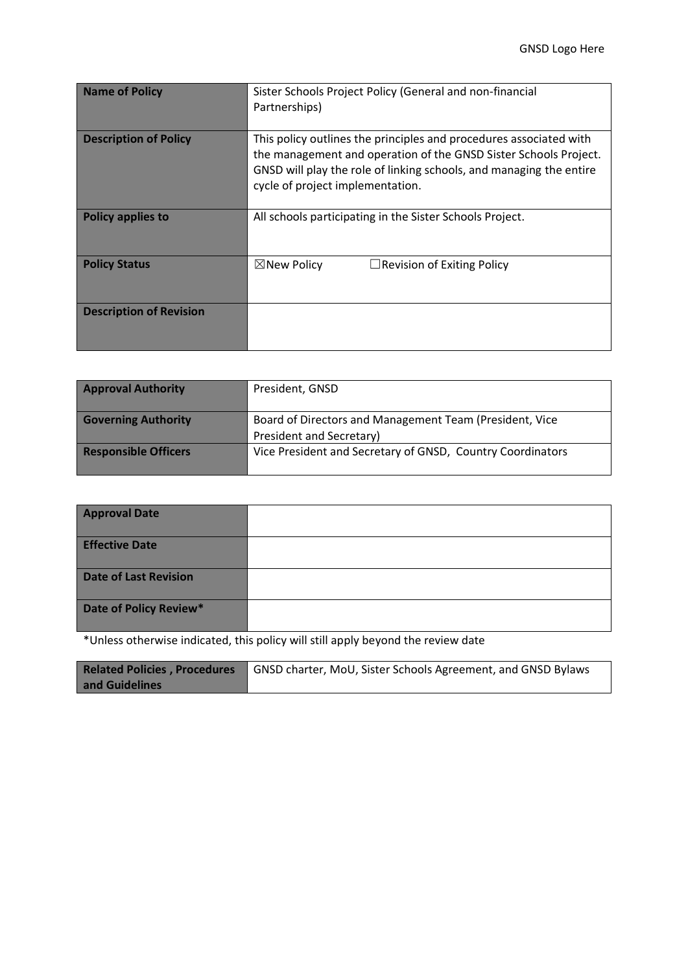| <b>Name of Policy</b>          | Sister Schools Project Policy (General and non-financial<br>Partnerships)                                                                                                                                                                         |  |  |
|--------------------------------|---------------------------------------------------------------------------------------------------------------------------------------------------------------------------------------------------------------------------------------------------|--|--|
| <b>Description of Policy</b>   | This policy outlines the principles and procedures associated with<br>the management and operation of the GNSD Sister Schools Project.<br>GNSD will play the role of linking schools, and managing the entire<br>cycle of project implementation. |  |  |
| <b>Policy applies to</b>       | All schools participating in the Sister Schools Project.                                                                                                                                                                                          |  |  |
| <b>Policy Status</b>           | $\boxtimes$ New Policy<br>$\Box$ Revision of Exiting Policy                                                                                                                                                                                       |  |  |
| <b>Description of Revision</b> |                                                                                                                                                                                                                                                   |  |  |

| <b>Approval Authority</b>   | President, GNSD                                                                     |
|-----------------------------|-------------------------------------------------------------------------------------|
| <b>Governing Authority</b>  | Board of Directors and Management Team (President, Vice<br>President and Secretary) |
| <b>Responsible Officers</b> | Vice President and Secretary of GNSD, Country Coordinators                          |

| <b>Approval Date</b>         |  |
|------------------------------|--|
| <b>Effective Date</b>        |  |
| <b>Date of Last Revision</b> |  |
| Date of Policy Review*       |  |

\*Unless otherwise indicated, this policy will still apply beyond the review date

|                | <b>Related Policies, Procedures</b> GNSD charter, MoU, Sister Schools Agreement, and GNSD Bylaws |  |  |
|----------------|--------------------------------------------------------------------------------------------------|--|--|
| and Guidelines |                                                                                                  |  |  |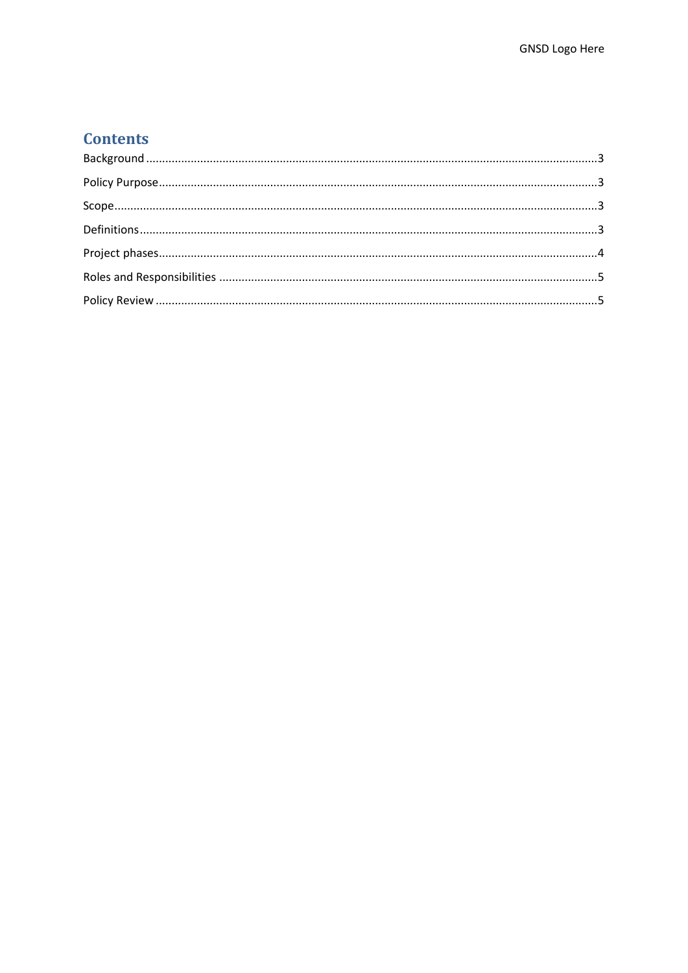# **Contents**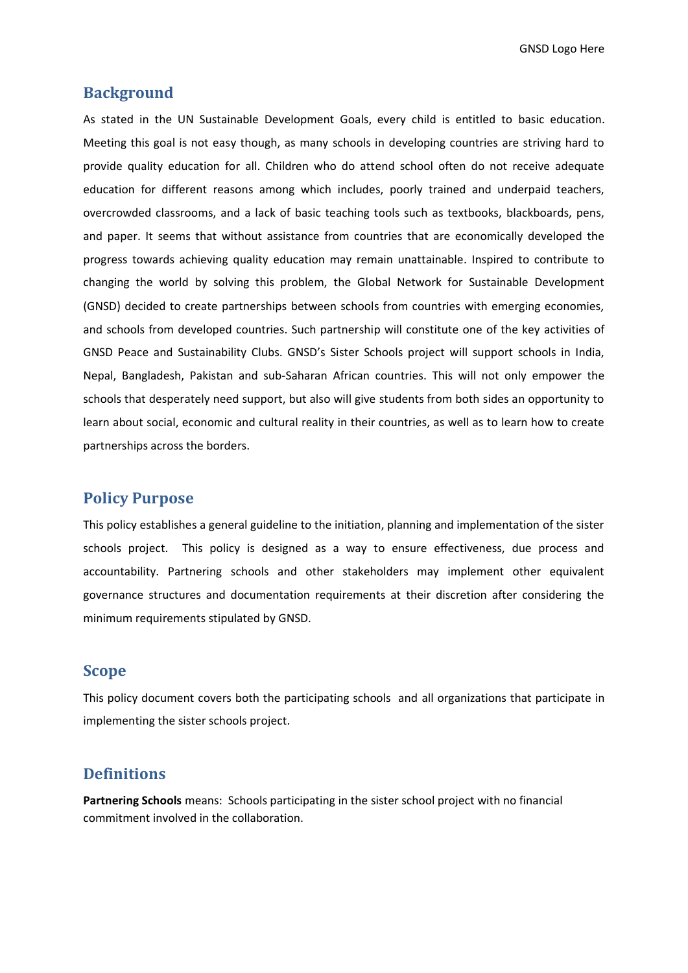GNSD Logo Here

### <span id="page-2-0"></span>**Background**

As stated in the UN Sustainable Development Goals, every child is entitled to basic education. Meeting this goal is not easy though, as many schools in developing countries are striving hard to provide quality education for all. Children who do attend school often do not receive adequate education for different reasons among which includes, poorly trained and underpaid teachers, overcrowded classrooms, and a lack of basic teaching tools such as textbooks, blackboards, pens, and paper. It seems that without assistance from countries that are economically developed the progress towards achieving quality education may remain unattainable. Inspired to contribute to changing the world by solving this problem, the Global Network for Sustainable Development (GNSD) decided to create partnerships between schools from countries with emerging economies, and schools from developed countries. Such partnership will constitute one of the key activities of GNSD Peace and Sustainability Clubs. GNSD's Sister Schools project will support schools in India, Nepal, Bangladesh, Pakistan and sub-Saharan African countries. This will not only empower the schools that desperately need support, but also will give students from both sides an opportunity to learn about social, economic and cultural reality in their countries, as well as to learn how to create partnerships across the borders.

## <span id="page-2-1"></span>**Policy Purpose**

This policy establishes a general guideline to the initiation, planning and implementation of the sister schools project. This policy is designed as a way to ensure effectiveness, due process and accountability. Partnering schools and other stakeholders may implement other equivalent governance structures and documentation requirements at their discretion after considering the minimum requirements stipulated by GNSD.

### <span id="page-2-2"></span>**Scope**

This policy document covers both the participating schools and all organizations that participate in implementing the sister schools project.

### <span id="page-2-3"></span>**Definitions**

**Partnering Schools** means: Schools participating in the sister school project with no financial commitment involved in the collaboration.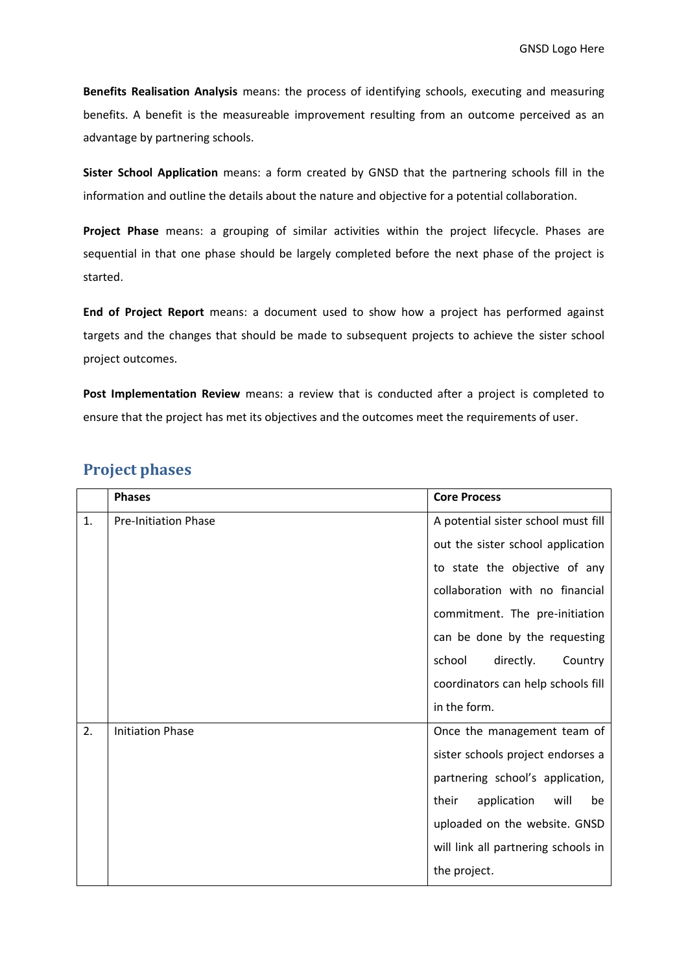**Benefits Realisation Analysis** means: the process of identifying schools, executing and measuring benefits. A benefit is the measureable improvement resulting from an outcome perceived as an advantage by partnering schools.

**Sister School Application** means: a form created by GNSD that the partnering schools fill in the information and outline the details about the nature and objective for a potential collaboration.

**Project Phase** means: a grouping of similar activities within the project lifecycle. Phases are sequential in that one phase should be largely completed before the next phase of the project is started.

**End of Project Report** means: a document used to show how a project has performed against targets and the changes that should be made to subsequent projects to achieve the sister school project outcomes.

Post Implementation Review means: a review that is conducted after a project is completed to ensure that the project has met its objectives and the outcomes meet the requirements of user.

|    | <b>Phases</b>               | <b>Core Process</b>                 |
|----|-----------------------------|-------------------------------------|
| 1. | <b>Pre-Initiation Phase</b> | A potential sister school must fill |
|    |                             | out the sister school application   |
|    |                             | to state the objective of any       |
|    |                             | collaboration with no financial     |
|    |                             | commitment. The pre-initiation      |
|    |                             | can be done by the requesting       |
|    |                             | school<br>directly.<br>Country      |
|    |                             | coordinators can help schools fill  |
|    |                             | in the form.                        |
| 2. | <b>Initiation Phase</b>     | Once the management team of         |
|    |                             | sister schools project endorses a   |
|    |                             | partnering school's application,    |
|    |                             | application<br>will<br>their<br>be  |
|    |                             | uploaded on the website. GNSD       |
|    |                             | will link all partnering schools in |
|    |                             | the project.                        |

# <span id="page-3-0"></span>**Project phases**